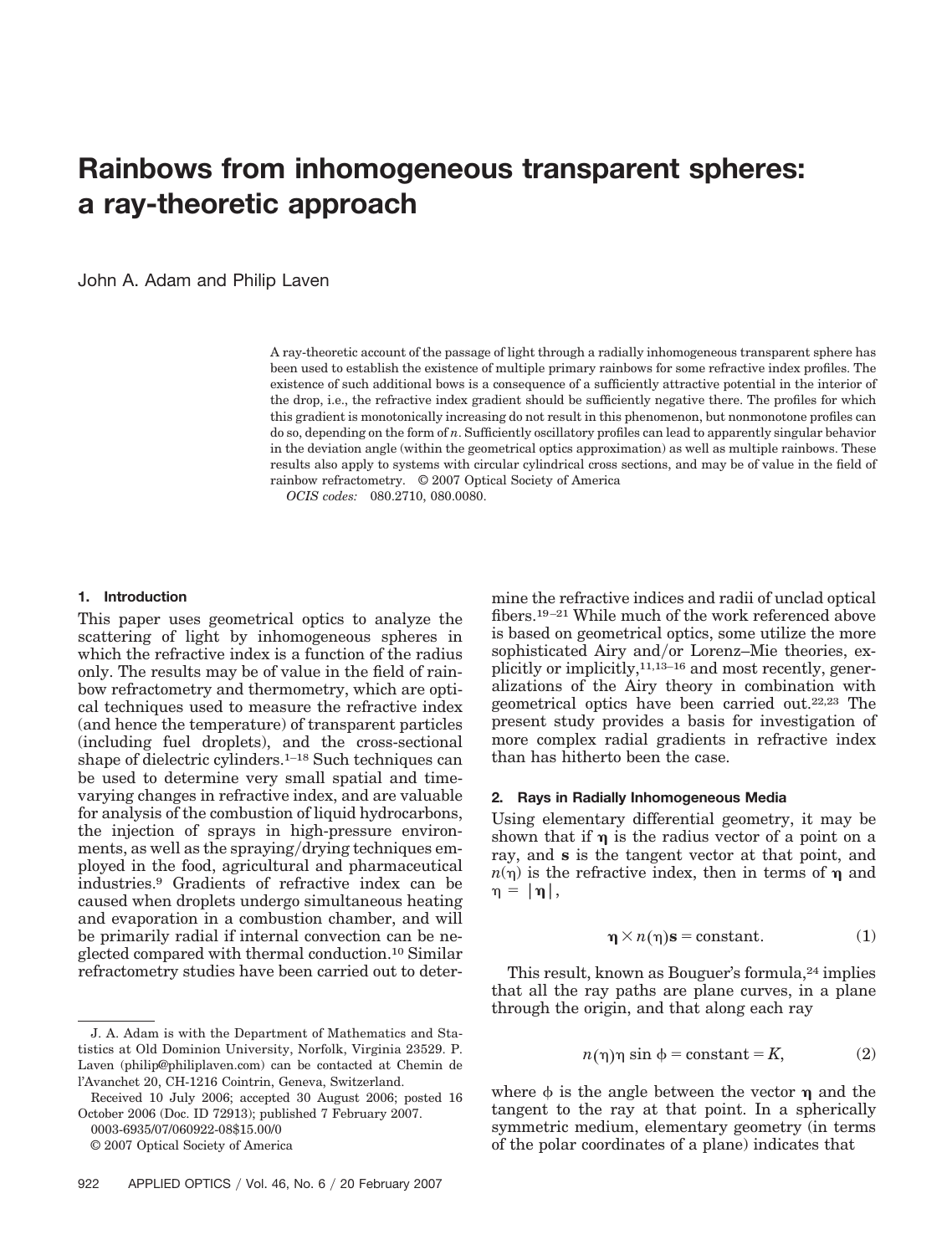# **Rainbows from inhomogeneous transparent spheres: a ray-theoretic approach**

John A. Adam and Philip Laven

A ray-theoretic account of the passage of light through a radially inhomogeneous transparent sphere has been used to establish the existence of multiple primary rainbows for some refractive index profiles. The existence of such additional bows is a consequence of a sufficiently attractive potential in the interior of the drop, i.e., the refractive index gradient should be sufficiently negative there. The profiles for which this gradient is monotonically increasing do not result in this phenomenon, but nonmonotone profiles can do so, depending on the form of *n*. Sufficiently oscillatory profiles can lead to apparently singular behavior in the deviation angle (within the geometrical optics approximation) as well as multiple rainbows. These results also apply to systems with circular cylindrical cross sections, and may be of value in the field of rainbow refractometry. © 2007 Optical Society of America

*OCIS codes:* 080.2710, 080.0080.

#### **1. Introduction**

This paper uses geometrical optics to analyze the scattering of light by inhomogeneous spheres in which the refractive index is a function of the radius only. The results may be of value in the field of rainbow refractometry and thermometry, which are optical techniques used to measure the refractive index (and hence the temperature) of transparent particles (including fuel droplets), and the cross-sectional shape of dielectric cylinders.<sup>1–18</sup> Such techniques can be used to determine very small spatial and timevarying changes in refractive index, and are valuable for analysis of the combustion of liquid hydrocarbons, the injection of sprays in high-pressure environments, as well as the spraying/drying techniques employed in the food, agricultural and pharmaceutical industries.9 Gradients of refractive index can be caused when droplets undergo simultaneous heating and evaporation in a combustion chamber, and will be primarily radial if internal convection can be neglected compared with thermal conduction.10 Similar refractometry studies have been carried out to deter-

0003-6935/07/060922-08\$15.00/0

© 2007 Optical Society of America

mine the refractive indices and radii of unclad optical fibers.19 –21 While much of the work referenced above is based on geometrical optics, some utilize the more sophisticated Airy and/or Lorenz-Mie theories, explicitly or implicitly,11,13–16 and most recently, generalizations of the Airy theory in combination with geometrical optics have been carried out.22,23 The present study provides a basis for investigation of more complex radial gradients in refractive index than has hitherto been the case.

## **2. Rays in Radially Inhomogeneous Media**

Using elementary differential geometry, it may be shown that if  $\eta$  is the radius vector of a point on a ray, and **s** is the tangent vector at that point, and  $n(\eta)$  is the refractive index, then in terms of  $\eta$  and  $\eta = |\eta|,$ 

$$
\mathbf{\eta} \times n(\mathbf{\eta})\mathbf{s} = \text{constant.} \tag{1}
$$

This result, known as Bouguer's formula,<sup>24</sup> implies that all the ray paths are plane curves, in a plane through the origin, and that along each ray

$$
n(\eta)\eta \sin \phi = \text{constant} = K,\tag{2}
$$

where  $\phi$  is the angle between the vector  $\eta$  and the tangent to the ray at that point. In a spherically symmetric medium, elementary geometry (in terms of the polar coordinates of a plane) indicates that

J. A. Adam is with the Department of Mathematics and Statistics at Old Dominion University, Norfolk, Virginia 23529. P. Laven (philip@philiplaven.com) can be contacted at Chemin de l'Avanchet 20, CH-1216 Cointrin, Geneva, Switzerland.

Received 10 July 2006; accepted 30 August 2006; posted 16 October 2006 (Doc. ID 72913); published 7 February 2007.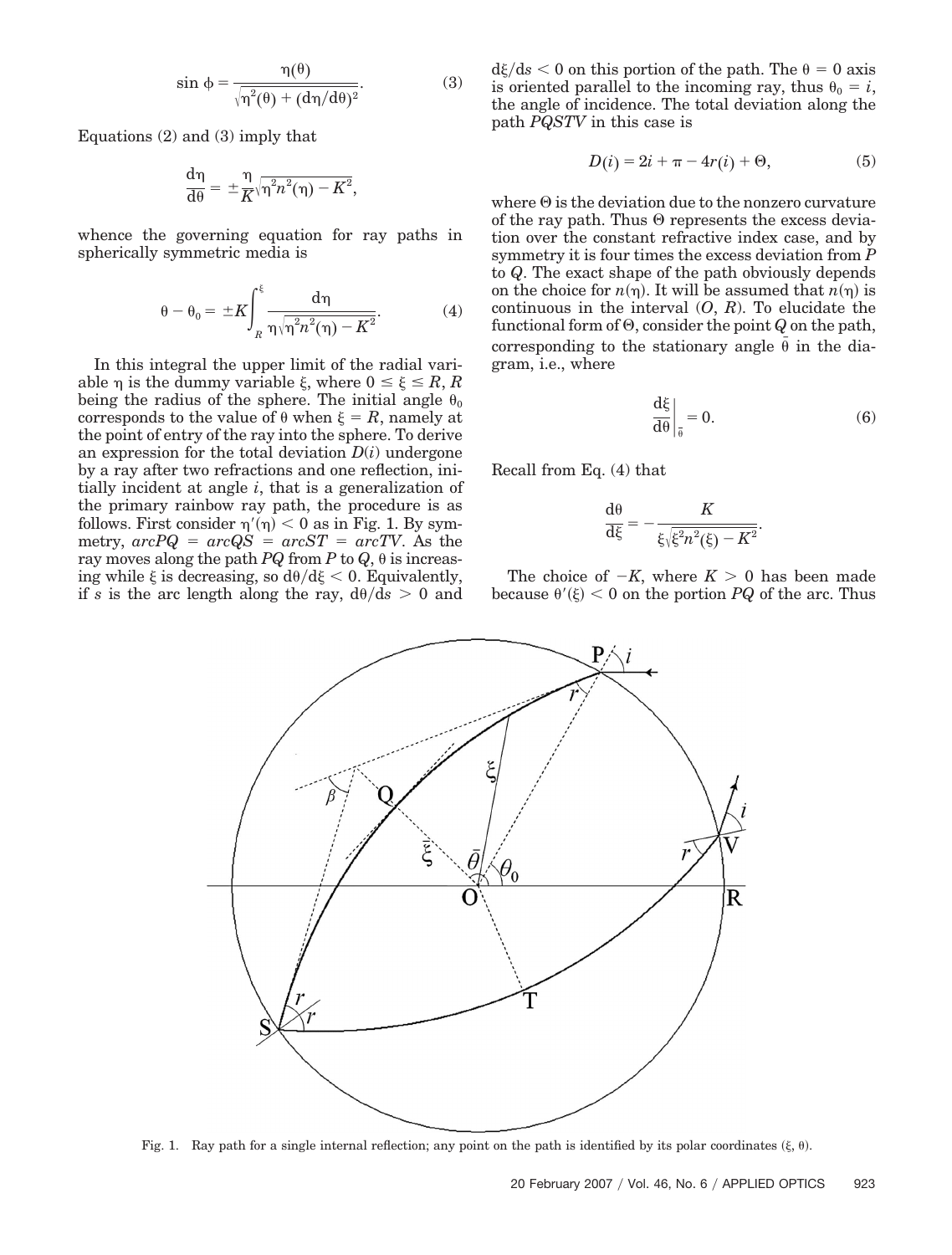$$
\sin \phi = \frac{\eta(\theta)}{\sqrt{\eta^2(\theta) + (d\eta/d\theta)^2}}.
$$
 (3)

Equations (2) and (3) imply that

$$
\frac{\mathrm{d}\eta}{\mathrm{d}\theta} = \pm \frac{\eta}{K} \sqrt{\eta^2 n^2(\eta) - K^2},
$$

whence the governing equation for ray paths in spherically symmetric media is

$$
\theta - \theta_0 = \pm K \int_{R}^{\xi} \frac{d\eta}{\eta \sqrt{\eta^2 n^2(\eta) - K^2}}.
$$
 (4)

In this integral the upper limit of the radial variable  $\eta$  is the dummy variable  $\xi$ , where  $0 \le \xi \le R$ , R being the radius of the sphere. The initial angle  $\theta_0$ corresponds to the value of  $\theta$  when  $\xi = R$ , namely at the point of entry of the ray into the sphere. To derive an expression for the total deviation  $D(i)$  undergone by a ray after two refractions and one reflection, initially incident at angle *i*, that is a generalization of the primary rainbow ray path, the procedure is as follows. First consider  $\eta'(\eta) < 0$  as in Fig. 1. By sym- $\text{metry,} \ \text{arcPQ} = \ \text{arcQS} = \ \text{arcST} = \ \text{arcTV}. \ \text{As the}$ ray moves along the path *PQ* from *P* to *Q*,  $\theta$  is increasing while  $\xi$  is decreasing, so  $d\theta/d\xi < 0$ . Equivalently, if *s* is the arc length along the ray,  $d\theta/ds > 0$  and

 $d\xi/ds < 0$  on this portion of the path. The  $\theta = 0$  axis is oriented parallel to the incoming ray, thus  $\theta_0 = i$ , the angle of incidence. The total deviation along the path *PQSTV* in this case is

$$
D(i) = 2i + \pi - 4r(i) + \Theta,
$$
 (5)

where  $\Theta$  is the deviation due to the nonzero curvature of the ray path. Thus  $\Theta$  represents the excess deviation over the constant refractive index case, and by symmetry it is four times the excess deviation from *P* to *Q*. The exact shape of the path obviously depends on the choice for  $n(\eta)$ . It will be assumed that  $n(\eta)$  is continuous in the interval  $(O, R)$ . To elucidate the functional form of  $\Theta$ , consider the point *Q* on the path, corresponding to the stationary angle  $\bar{\theta}$  in the diagram, i.e., where

$$
\frac{\mathrm{d}\xi}{\mathrm{d}\theta}\bigg|_{\overline{\theta}} = 0.\tag{6}
$$

Recall from Eq. (4) that

$$
\frac{\mathrm{d}\theta}{\mathrm{d}\xi} = -\frac{K}{\xi\sqrt{\xi^2n^2(\xi)-K^2}}.
$$

The choice of  $-K$ , where  $K > 0$  has been made because  $\theta'(\xi) < 0$  on the portion *PQ* of the arc. Thus



Fig. 1. Ray path for a single internal reflection; any point on the path is identified by its polar coordinates  $(\xi, \theta)$ .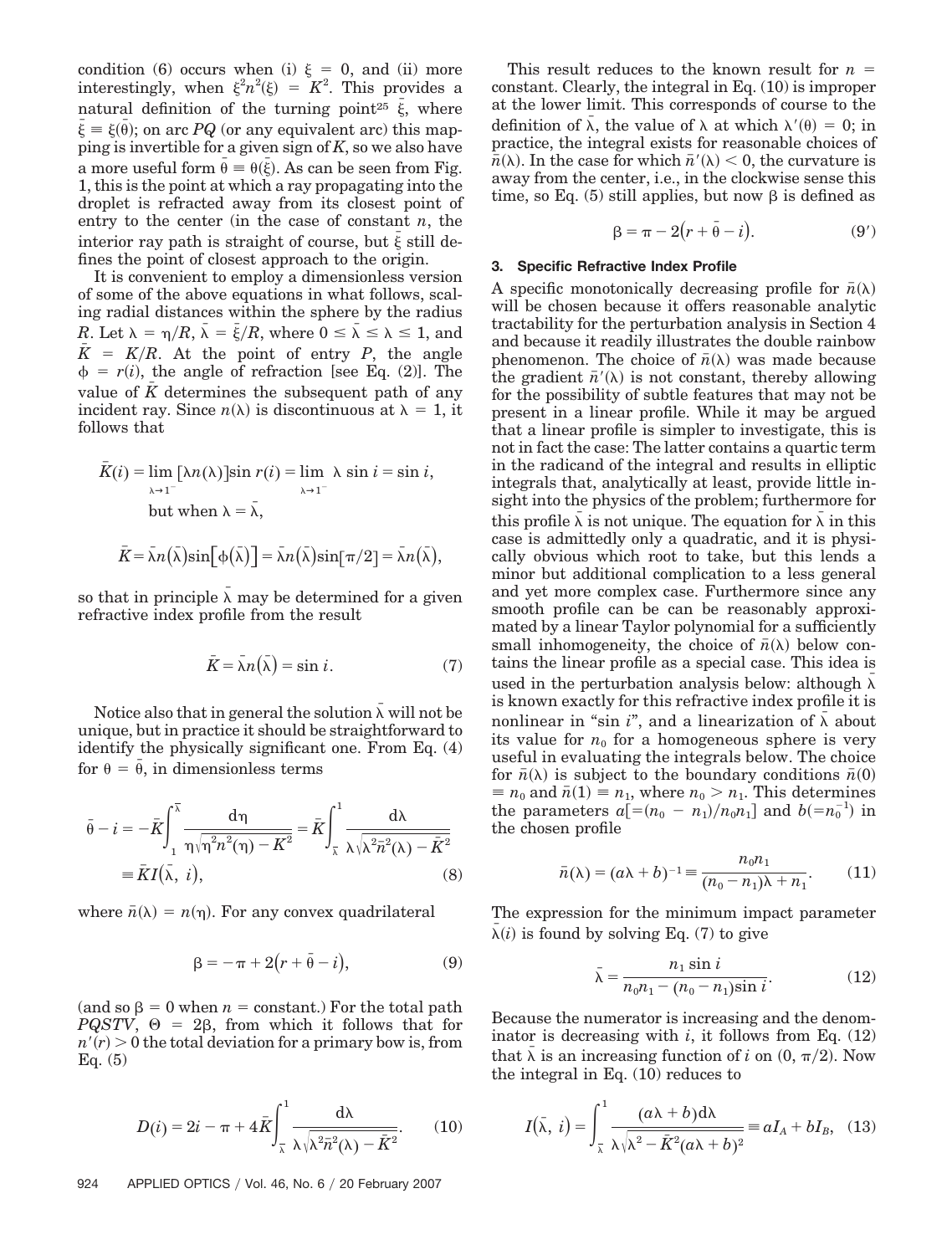condition (6) occurs when (i)  $\xi = 0$ , and (ii) more interestingly, when  $\xi^2 n^2(\xi) = K^2$ . This provides a natural definition of the turning point<sup>25</sup>  $\bar{\xi}$ , where  $\bar{\xi} = \xi(\bar{\theta})$ ; on arc *PQ* (or any equivalent arc) this mapping is invertible for a given sign of *K*, so we also have a more useful form  $\bar{\theta} = \theta(\bar{\xi})$ . As can be seen from Fig. 1, this is the point at which a ray propagating into the droplet is refracted away from its closest point of entry to the center (in the case of constant *n*, the interior ray path is straight of course, but  $\bar{\xi}$  still defines the point of closest approach to the origin.

It is convenient to employ a dimensionless version of some of the above equations in what follows, scaling radial distances within the sphere by the radius *R*. Let  $\lambda = \eta/R$ ,  $\bar{\lambda} = \bar{\xi}/R$ , where  $0 \le \bar{\lambda} \le \lambda \le 1$ , and  $\bar{K} = K/R$ . At the point of entry *P*, the angle  $\phi = r(i)$ , the angle of refraction [see Eq. (2)]. The value of  $K$  determines the subsequent path of any incident ray. Since  $n(\lambda)$  is discontinuous at  $\lambda = 1$ , it follows that

$$
\overline{K}(i) = \lim_{\lambda \to 1^{-}} [\lambda n(\lambda)] \sin r(i) = \lim_{\lambda \to 1^{-}} \lambda \sin i = \sin i,
$$
  
but when  $\lambda = \overline{\lambda}$ ,  

$$
\overline{K} = \overline{\lambda} n(\overline{\lambda}) \sin[\phi(\overline{\lambda})] = \overline{\lambda} n(\overline{\lambda}) \sin[\pi/2] = \overline{\lambda} n(\overline{\lambda}),
$$

so that in principle  $\bar{\lambda}$  may be determined for a given refractive index profile from the result

$$
\bar{K} = \bar{\lambda}n(\bar{\lambda}) = \sin i. \tag{7}
$$

Notice also that in general the solution *¯* will not be unique, but in practice it should be straightforward to identify the physically significant one. From Eq. (4) for  $\theta = \bar{\theta}$ , in dimensionless terms

$$
\bar{\theta} - i = -\bar{K} \int_{1}^{\bar{\lambda}} \frac{d\eta}{\eta \sqrt{\eta^{2} n^{2}(\eta) - K^{2}}} = \bar{K} \int_{\bar{\lambda}}^{1} \frac{d\lambda}{\lambda \sqrt{\lambda^{2} \bar{n}^{2}(\lambda) - \bar{K}^{2}}} \n\equiv \bar{K} I(\bar{\lambda}, i),
$$
\n(8)

where  $\bar{n}(\lambda) = n(\eta)$ . For any convex quadrilateral

$$
\beta = -\pi + 2(r + \bar{\theta} - i),\tag{9}
$$

(and so  $\beta = 0$  when  $n = constant$ .) For the total path  $PQSTV$ ,  $\Theta = 2\beta$ , from which it follows that for  $n'(r) > 0$  the total deviation for a primary bow is, from Eq. (5)

$$
D(i) = 2i - \pi + 4\bar{K} \int_{\bar{x}}^{1} \frac{d\lambda}{\lambda \sqrt{\lambda^2 \bar{n}^2(\lambda) - \bar{K}^2}}.
$$
 (10)

This result reduces to the known result for *n* constant. Clearly, the integral in Eq. (10) is improper at the lower limit. This corresponds of course to the definition of  $\bar{\lambda}$ , the value of  $\lambda$  at which  $\lambda'(\theta) = 0$ ; in practice, the integral exists for reasonable choices of  $\bar{n}(\lambda)$ . In the case for which  $\bar{n}'(\lambda) < 0$ , the curvature is away from the center, i.e., in the clockwise sense this time, so Eq.  $(5)$  still applies, but now  $\beta$  is defined as

$$
\beta = \pi - 2(r + \bar{\theta} - i). \tag{9'}
$$

## **3. Specific Refractive Index Profile**

A specific monotonically decreasing profile for  $\bar{n}(\lambda)$ will be chosen because it offers reasonable analytic tractability for the perturbation analysis in Section 4 and because it readily illustrates the double rainbow phenomenon. The choice of  $\bar{n}(\lambda)$  was made because the gradient  $\bar{n}'(\lambda)$  is not constant, thereby allowing for the possibility of subtle features that may not be present in a linear profile. While it may be argued that a linear profile is simpler to investigate, this is not in fact the case: The latter contains a quartic term in the radicand of the integral and results in elliptic integrals that, analytically at least, provide little insight into the physics of the problem; furthermore for this profile  $\bar{\lambda}$  is not unique. The equation for  $\bar{\lambda}$  in this case is admittedly only a quadratic, and it is physically obvious which root to take, but this lends a minor but additional complication to a less general and yet more complex case. Furthermore since any smooth profile can be can be reasonably approximated by a linear Taylor polynomial for a sufficiently small inhomogeneity, the choice of  $\bar{n}(\lambda)$  below contains the linear profile as a special case. This idea is used in the perturbation analysis below: although  $\bar{\lambda}$ is known exactly for this refractive index profile it is nonlinear in "sin *i*", and a linearization of  $\bar{\lambda}$  about its value for  $n_0$  for a homogeneous sphere is very useful in evaluating the integrals below. The choice for  $\bar{n}(\lambda)$  is subject to the boundary conditions  $\bar{n}(0)$  $\equiv n_0$  and  $\bar{n}(1) \equiv n_1$ , where  $n_0 > n_1$ . This determines the parameters  $a = (n_0 - n_1)/n_0 n_1$  and  $b = n_0^{-1}$  in the chosen profile

$$
\bar{n}(\lambda) = (a\lambda + b)^{-1} \equiv \frac{n_0 n_1}{(n_0 - n_1)\lambda + n_1}.
$$
 (11)

The expression for the minimum impact parameter  $\bar{\lambda}(i)$  is found by solving Eq. (7) to give

$$
\bar{\lambda} = \frac{n_1 \sin i}{n_0 n_1 - (n_0 - n_1) \sin i}.
$$
 (12)

Because the numerator is increasing and the denominator is decreasing with  $i$ , it follows from Eq.  $(12)$ that  $\bar{\lambda}$  is an increasing function of *i* on  $(0, \pi/2)$ . Now the integral in Eq. (10) reduces to

$$
I(\bar{\lambda}, i) = \int_{\bar{\lambda}}^{1} \frac{(a\lambda + b) d\lambda}{\lambda \sqrt{\lambda^2 - \bar{K}^2 (a\lambda + b)^2}} = aI_A + bI_B, (13)
$$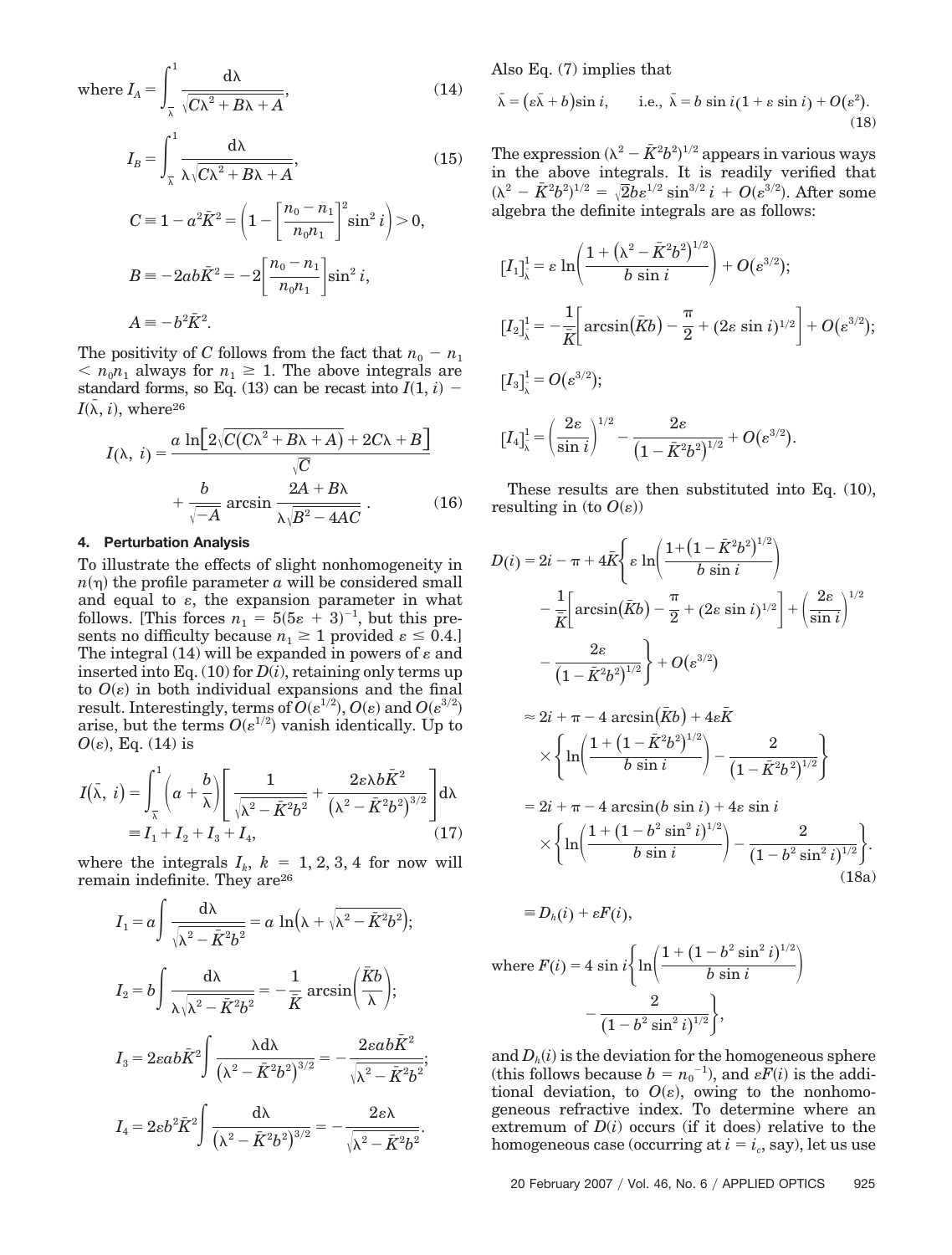where  $I_A = \int$ λ <sup>1</sup> d $\lambda$  $\sqrt{C\lambda^2 + B\lambda + A}$  $(14)$ 

$$
I_B = \int_{\frac{1}{\lambda}}^1 \frac{d\lambda}{\lambda \sqrt{C\lambda^2 + B\lambda + A}},\tag{15}
$$

$$
C = 1 - a^2 \bar{K}^2 = \left(1 - \left[\frac{n_0 - n_1}{n_0 n_1}\right]^2 \sin^2 i\right) > 0,
$$
  
\n
$$
B = -2ab\bar{K}^2 = -2\left[\frac{n_0 - n_1}{n_0 n_1}\right] \sin^2 i,
$$
  
\n
$$
A = -b^2 \bar{K}^2.
$$

The positivity of *C* follows from the fact that  $n_0 - n_1$  $n_0 n_1$  always for  $n_1 \geq 1$ . The above integrals are standard forms, so Eq. (13) can be recast into  $I(1, i)$  –  $I(\bar{\lambda}, i)$ , where<sup>26</sup>

$$
I(\lambda, i) = \frac{a \ln \left[2\sqrt{C(C\lambda^2 + B\lambda + A)} + 2C\lambda + B\right]}{\sqrt{C}} + \frac{b}{\sqrt{-A}} \arcsin \frac{2A + B\lambda}{\lambda\sqrt{B^2 - 4AC}}.
$$
 (16)

#### **4. Perturbation Analysis**

To illustrate the effects of slight nonhomogeneity in  $n(\eta)$  the profile parameter  $a$  will be considered small and equal to  $\varepsilon$ , the expansion parameter in what follows. [This forces  $n_1 = 5(5\varepsilon + 3)^{-1}$ , but this presents no difficulty because  $n_1 \geq 1$  provided  $\varepsilon \leq 0.4$ . The integral (14) will be expanded in powers of  $\varepsilon$  and inserted into Eq.  $(10)$  for  $D(i)$ , retaining only terms up to  $O(\varepsilon)$  in both individual expansions and the final  ${\rm result.}$  Interestingly, terms of  $O(\varepsilon^{1/2})$ ,  $O(\varepsilon)$  and  $O(\varepsilon^{3/2})$ arise, but the terms  $O(\varepsilon^{1/2})$  vanish identically. Up to  $O(\varepsilon)$ , Eq. (14) is

$$
I(\bar{\lambda}, i) = \int_{\bar{\lambda}}^{1} \left( a + \frac{b}{\lambda} \right) \left[ \frac{1}{\sqrt{\lambda^2 - \bar{K}^2 b^2}} + \frac{2\varepsilon \lambda b \bar{K}^2}{(\lambda^2 - \bar{K}^2 b^2)^{3/2}} \right] d\lambda
$$
  
=  $I_1 + I_2 + I_3 + I_4,$  (17)

where the integrals  $I_k$ ,  $k = 1, 2, 3, 4$  for now will remain indefinite. They are<sup>26</sup>

$$
I_1 = a \int \frac{d\lambda}{\sqrt{\lambda^2 - \bar{K}^2 b^2}} = a \ln(\lambda + \sqrt{\lambda^2 - \bar{K}^2 b^2});
$$
  
\n
$$
I_2 = b \int \frac{d\lambda}{\lambda \sqrt{\lambda^2 - \bar{K}^2 b^2}} = -\frac{1}{\bar{K}} \arcsin\left(\frac{\bar{K}b}{\lambda}\right);
$$
  
\n
$$
I_3 = 2\varepsilon ab\bar{K}^2 \int \frac{\lambda d\lambda}{\left(\lambda^2 - \bar{K}^2 b^2\right)^{3/2}} = -\frac{2\varepsilon ab\bar{K}^2}{\sqrt{\lambda^2 - \bar{K}^2 b^2}};
$$
  
\n
$$
I_4 = 2\varepsilon b^2 \bar{K}^2 \int \frac{d\lambda}{\left(\lambda^2 - \bar{K}^2 b^2\right)^{3/2}} = -\frac{2\varepsilon\lambda}{\sqrt{\lambda^2 - \bar{K}^2 b^2}}.
$$

Also Eq. (7) implies that

$$
\bar{\lambda} = (e\bar{\lambda} + b)\sin i, \qquad \text{i.e., } \bar{\lambda} = b \sin i(1 + \varepsilon \sin i) + O(\varepsilon^2). \tag{18}
$$

The expression  $(\lambda^2 - \bar{K}^2 b^2)^{1/2}$  appears in various ways in the above integrals. It is readily verified that  $(\lambda^2 - \bar{K}^2 b^2)^{1/2} = \sqrt{2}b\epsilon^{1/2} \sin^{3/2} i + O(\epsilon^{3/2}).$  After some algebra the definite integrals are as follows:

$$
\begin{array}{l} \left[I_1\right]_\lambda^1 = \varepsilon \, \ln\!\left(\dfrac{1 + \left(\lambda^2 - \bar{K}^2 b^2\right)^{1/2}}{b\,\sin\,i}\right) + O(\varepsilon^{3/2});\\ \\ \left[I_2\right]_\lambda^1 = -\dfrac{1}{\bar{K}}\!\!\left[\arcsin\!\left(\bar{K}b\right) - \dfrac{\pi}{2} + (2\varepsilon\,\sin\,i)^{1/2}\right] + O(\varepsilon^{3/2});\\ \\ \left[I_3\right]_\lambda^1 = O(\varepsilon^{3/2});\\ \\ \left[I_4\right]_\lambda^1 = \left(\dfrac{2\varepsilon}{\sin\,i}\right)^{1/2} - \dfrac{2\varepsilon}{\left(1 - \bar{K}^2b^2\right)^{1/2}} + O(\varepsilon^{3/2}). \end{array}
$$

These results are then substituted into Eq. (10), resulting in (to  $O(\varepsilon)$ )

$$
D(i) = 2i - \pi + 4\bar{K} \Biggl\{ \varepsilon \ln \Biggl( \frac{1 + (1 - \bar{K}^2 b^2)^{1/2}}{b \sin i} \Biggr) - \frac{1}{\bar{K}} \Biggl[ \arcsin (\bar{K}b) - \frac{\pi}{2} + (2\varepsilon \sin i)^{1/2} \Biggr] + \left( \frac{2\varepsilon}{\sin i} \right)^{1/2} - \frac{2\varepsilon}{\left( 1 - \bar{K}^2 b^2 \right)^{1/2}} \Biggr\} + O(\varepsilon^{3/2})
$$

$$
\approx 2i + \pi - 4 \arcsin(\bar{K}b) + 4\epsilon \bar{K}
$$

$$
\times \left\{ \ln \left( \frac{1 + \left(1 - \bar{K}^2 b^2\right)^{1/2}}{b \sin i} \right) - \frac{2}{\left(1 - \bar{K}^2 b^2\right)^{1/2}} \right\}
$$

$$
= 2i + \pi - 4 \arcsin(b \sin i) + 4\epsilon \sin i
$$

$$
\times \bigg\{\ln\bigg(\frac{1+\left(1-b^2\sin^2i\right)^{1/2}}{b\,\sin i}\bigg)-\frac{2}{\left(1-b^2\sin^2i\right)^{1/2}}\bigg\}.\tag{18a}
$$

$$
\equiv D_h(i) + \varepsilon F(i),
$$
  
where  $F(i) = 4 \sin i \left\{ \ln \left( \frac{1 + (1 - b^2 \sin^2 i)^{1/2}}{b \sin i} \right) - \frac{2}{(1 - b^2 \sin^2 i)^{1/2}} \right\},$ 

and  $D_h(i)$  is the deviation for the homogeneous sphere (this follows because  $b = n_0^{-1}$ ), and  $\varepsilon \overline{F}(i)$  is the additional deviation, to  $O(\varepsilon)$ , owing to the nonhomogeneous refractive index. To determine where an extremum of  $D(i)$  occurs (if it does) relative to the homogeneous case (occurring at  $i = i_c$ , say), let us use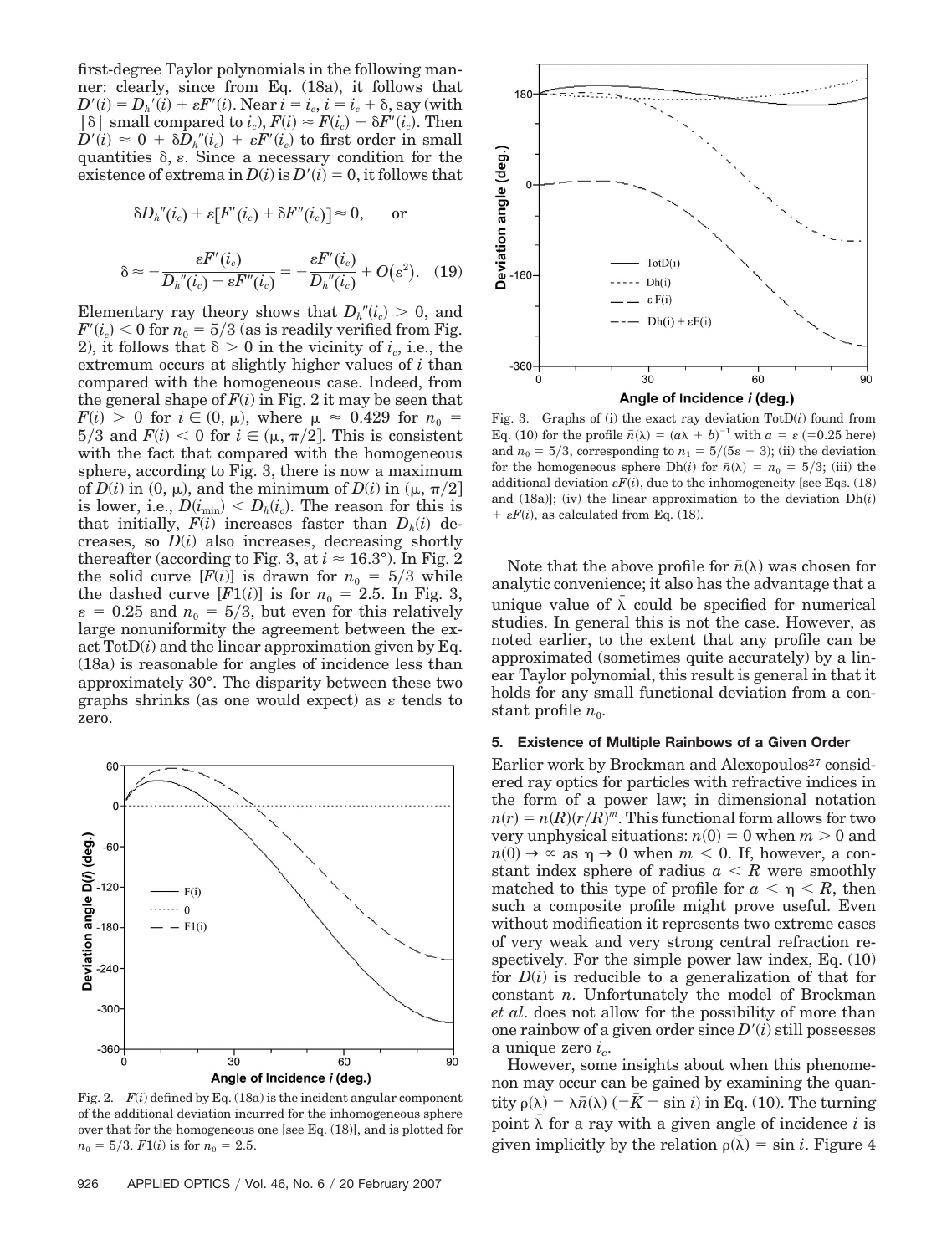first-degree Taylor polynomials in the following manner: clearly, since from Eq. (18a), it follows that  $D'(i) = D_h'(i) + \varepsilon F'(i)$ . Near  $i = i_c$ ,  $i = i_c + \delta$ , say (with  $|\delta|$  small compared to *i<sub>c</sub>*),  $F(i) \approx F(i_c) + \delta F'(i_c)$ . Then  $D'(i) \approx 0 + \delta D_h''(i_c) + \varepsilon F'(i_c)$  to first order in small quantities  $\delta$ ,  $\varepsilon$ . Since a necessary condition for the existence of extrema in  $D(i)$  is  $D'(i) = 0$ , it follows that

$$
\delta D_{h}^{\prime\prime}(i_c)+\varepsilon[F^\prime(i_c)+\delta F^{\prime\prime}(i_c)]\approx 0,\qquad\text{or}\qquad
$$

$$
\delta \approx -\frac{\varepsilon F'(i_c)}{D_h''(i_c) + \varepsilon F''(i_c)} = -\frac{\varepsilon F'(i_c)}{D_h''(i_c)} + O(\varepsilon^2). \quad (19)
$$

Elementary ray theory shows that  $D_h''(i_c) > 0$ , and  $F^{\prime}(i_{c}) < 0 \; {\rm for} \: n_{0} = 5/3$  (as is readily verified from Fig. 2), it follows that  $\delta > 0$  in the vicinity of  $i_c$ , i.e., the extremum occurs at slightly higher values of *i* than compared with the homogeneous case. Indeed, from the general shape of  $F(i)$  in Fig. 2 it may be seen that  $F(i) > 0$  for  $i \in (0, \mu)$ , where  $\mu \approx 0.429$  for  $n_0 =$  $5/3$  and  $F(i) < 0$  for  $i \in (\mu, \pi/2]$ . This is consistent with the fact that compared with the homogeneous sphere, according to Fig. 3, there is now a maximum of  $D(i)$  in  $(0, \mu)$ , and the minimum of  $D(i)$  in  $(\mu, \pi/2]$ is lower, i.e.,  $D(i_{\min}) < D_h(i_c)$ . The reason for this is that initially,  $F(i)$  increases faster than  $D_h(i)$  decreases, so *D*(*i*) also increases, decreasing shortly thereafter (according to Fig. 3, at  $i \approx 16.3^{\circ}$ ). In Fig. 2 the solid curve  $[F(i)]$  is drawn for  $n_0 = 5/3$  while the dashed curve  $[F1(i)]$  is for  $n_0 = 2.5$ . In Fig. 3,  $\varepsilon = 0.25$  and  $n_0 = 5/3$ , but even for this relatively large nonuniformity the agreement between the exact  $\text{TotD}(i)$  and the linear approximation given by Eq. (18a) is reasonable for angles of incidence less than approximately 30°. The disparity between these two graphs shrinks (as one would expect) as  $\varepsilon$  tends to zero.



Fig. 2. *F*(*i*) defined by Eq. (18a) is the incident angular component of the additional deviation incurred for the inhomogeneous sphere over that for the homogeneous one [see Eq. (18)], and is plotted for  $n_0 = 5/3$ .  $F1(i)$  is for  $n_0 = 2.5$ .



Fig. 3. Graphs of (i) the exact ray deviation TotD(*i*) found from Eq. (10) for the profile  $\bar{n}(\lambda) = (a\lambda + b)^{-1}$  with  $a = \varepsilon$  (=0.25 here) and  $n_0 = 5/3$ , corresponding to  $n_1 = 5/(5\varepsilon + 3)$ ; (ii) the deviation for the homogeneous sphere Dh(*i*) for  $\bar{n}(\lambda) = n_0 = 5/3$ ; (iii) the additional deviation  $\varepsilon F(i)$ , due to the inhomogeneity [see Eqs. (18) and  $(18a)$ ; (iv) the linear approximation to the deviation  $Dh(i)$  $+ \varepsilon F(i)$ , as calculated from Eq. (18).

Note that the above profile for  $\bar{n}(\lambda)$  was chosen for analytic convenience; it also has the advantage that a unique value of  $\bar{\lambda}$  could be specified for numerical studies. In general this is not the case. However, as noted earlier, to the extent that any profile can be approximated (sometimes quite accurately) by a linear Taylor polynomial, this result is general in that it holds for any small functional deviation from a constant profile  $n_0$ .

## **5. Existence of Multiple Rainbows of a Given Order**

Earlier work by Brockman and Alexopoulos<sup>27</sup> considered ray optics for particles with refractive indices in the form of a power law; in dimensional notation  $n(r) = n(R)(r/R)^m$ . This functional form allows for two very unphysical situations:  $n(0) = 0$  when  $m > 0$  and  $n(0) \to \infty$  as  $\eta \to 0$  when  $m < 0$ . If, however, a constant index sphere of radius  $a \leq R$  were smoothly matched to this type of profile for  $a < \eta < R$ , then such a composite profile might prove useful. Even without modification it represents two extreme cases of very weak and very strong central refraction respectively. For the simple power law index, Eq. (10) for *D*(*i*) is reducible to a generalization of that for constant *n*. Unfortunately the model of Brockman *et al*. does not allow for the possibility of more than one rainbow of a given order since  $D'(i)$  still possesses a unique zero  $i_c$ .

However, some insights about when this phenomenon may occur can be gained by examining the quantity  $\rho(\lambda) = \lambda \bar{n}(\lambda)$  ( $= \bar{K} = \sin i$ ) in Eq. (10). The turning point  $\bar{\lambda}$  for a ray with a given angle of incidence *i* is given implicitly by the relation  $\rho(\bar{\lambda}) = \sin i$ . Figure 4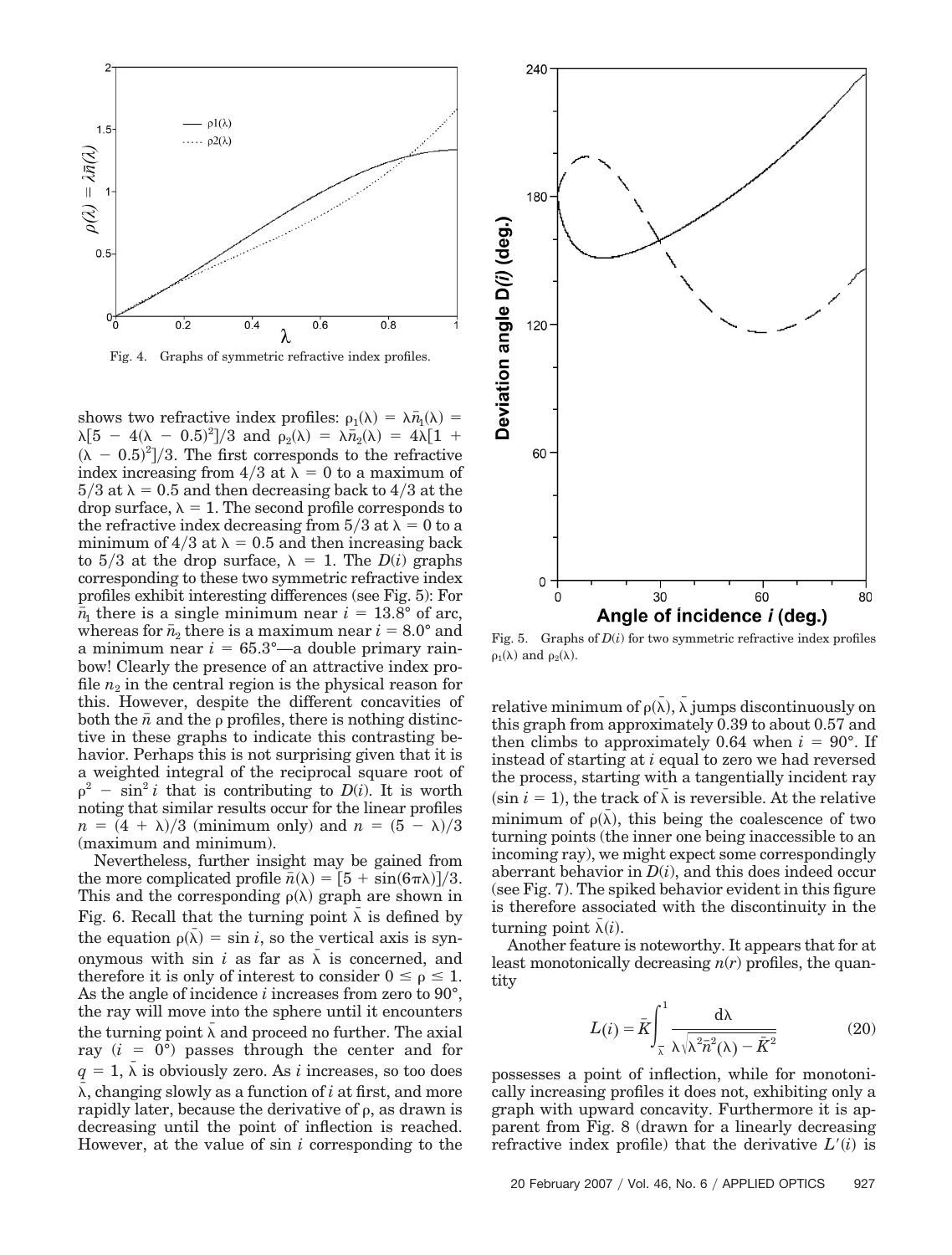



shows two refractive index profiles:  $\rho_1(\lambda) = \lambda \bar{n}_1(\lambda) =$  $\lambda[5 - 4(\lambda - 0.5)^2]/3$  and  $\rho_2(\lambda) = \lambda \bar{n}_2(\lambda) = 4\lambda[1 +$  $(\lambda - 0.5)^2$ /3. The first corresponds to the refractive index increasing from  $4/3$  at  $\lambda = 0$  to a maximum of  $5/3$  at  $\lambda = 0.5$  and then decreasing back to  $4/3$  at the drop surface,  $\lambda = 1$ . The second profile corresponds to the refractive index decreasing from  $5/3$  at  $\lambda = 0$  to a minimum of  $4/3$  at  $\lambda = 0.5$  and then increasing back to  $5/3$  at the drop surface,  $\lambda = 1$ . The *D(i)* graphs corresponding to these two symmetric refractive index profiles exhibit interesting differences (see Fig. 5): For  $\bar{n}_1$  there is a single minimum near  $i = 13.8^{\circ}$  of arc, whereas for  $\bar{n}_2$  there is a maximum near  $i = 8.0^{\circ}$  and a minimum near  $i = 65.3^{\circ}$ —a double primary rainbow! Clearly the presence of an attractive index profile  $n_2$  in the central region is the physical reason for this. However, despite the different concavities of both the  $\bar{n}$  and the  $\rho$  profiles, there is nothing distinctive in these graphs to indicate this contrasting behavior. Perhaps this is not surprising given that it is a weighted integral of the reciprocal square root of  $p^2 - \sin^2 i$  that is contributing to  $D(i)$ . It is worth noting that similar results occur for the linear profiles  $n = (4 + \lambda)/3$  (minimum only) and  $n = (5 - \lambda)/3$ (maximum and minimum).

Nevertheless, further insight may be gained from the more complicated profile  $\bar{n}(\lambda) = \frac{5 + \sin(6\pi\lambda)}{3}$ . This and the corresponding  $\rho(\lambda)$  graph are shown in Fig. 6. Recall that the turning point  $\bar{\lambda}$  is defined by the equation  $\rho(\bar{\lambda}) = \sin i$ , so the vertical axis is synonymous with sin *i* as far as  $\bar{\lambda}$  is concerned, and therefore it is only of interest to consider  $0 \le \rho \le 1$ . As the angle of incidence *i* increases from zero to 90°, the ray will move into the sphere until it encounters the turning point  $\bar{\lambda}$  and proceed no further. The axial ray  $(i = 0^{\circ})$  passes through the center and for  $q = 1$ ,  $\bar{\lambda}$  is obviously zero. As *i* increases, so too does *¯*, changing slowly as a function of *i* at first, and more rapidly later, because the derivative of  $\rho$ , as drawn is decreasing until the point of inflection is reached. However, at the value of sin *i* corresponding to the



Fig. 5. Graphs of  $D(i)$  for two symmetric refractive index profiles  $\rho_1(\lambda)$  and  $\rho_2(\lambda)$ .

relative minimum of  $\rho(\bar{\lambda})$ ,  $\bar{\lambda}$  jumps discontinuously on this graph from approximately 0.39 to about 0.57 and then climbs to approximately  $0.64$  when  $i = 90^{\circ}$ . If instead of starting at *i* equal to zero we had reversed the process, starting with a tangentially incident ray  $(\sin i = 1)$ , the track of  $\bar{\lambda}$  is reversible. At the relative minimum of  $\rho(\bar{\lambda})$ , this being the coalescence of two turning points (the inner one being inaccessible to an incoming ray), we might expect some correspondingly aberrant behavior in *D*(*i*), and this does indeed occur (see Fig. 7). The spiked behavior evident in this figure is therefore associated with the discontinuity in the turning point  $\bar{\lambda}(i)$ .

Another feature is noteworthy. It appears that for at least monotonically decreasing *n*(*r*) profiles, the quantity

$$
L(i) = \bar{K} \int_{\bar{\lambda}}^{1} \frac{d\lambda}{\lambda \sqrt{\lambda^2 \bar{n}^2(\lambda) - \bar{K}^2}}
$$
(20)

possesses a point of inflection, while for monotonically increasing profiles it does not, exhibiting only a graph with upward concavity. Furthermore it is apparent from Fig. 8 (drawn for a linearly decreasing refractive index profile) that the derivative  $L'(i)$  is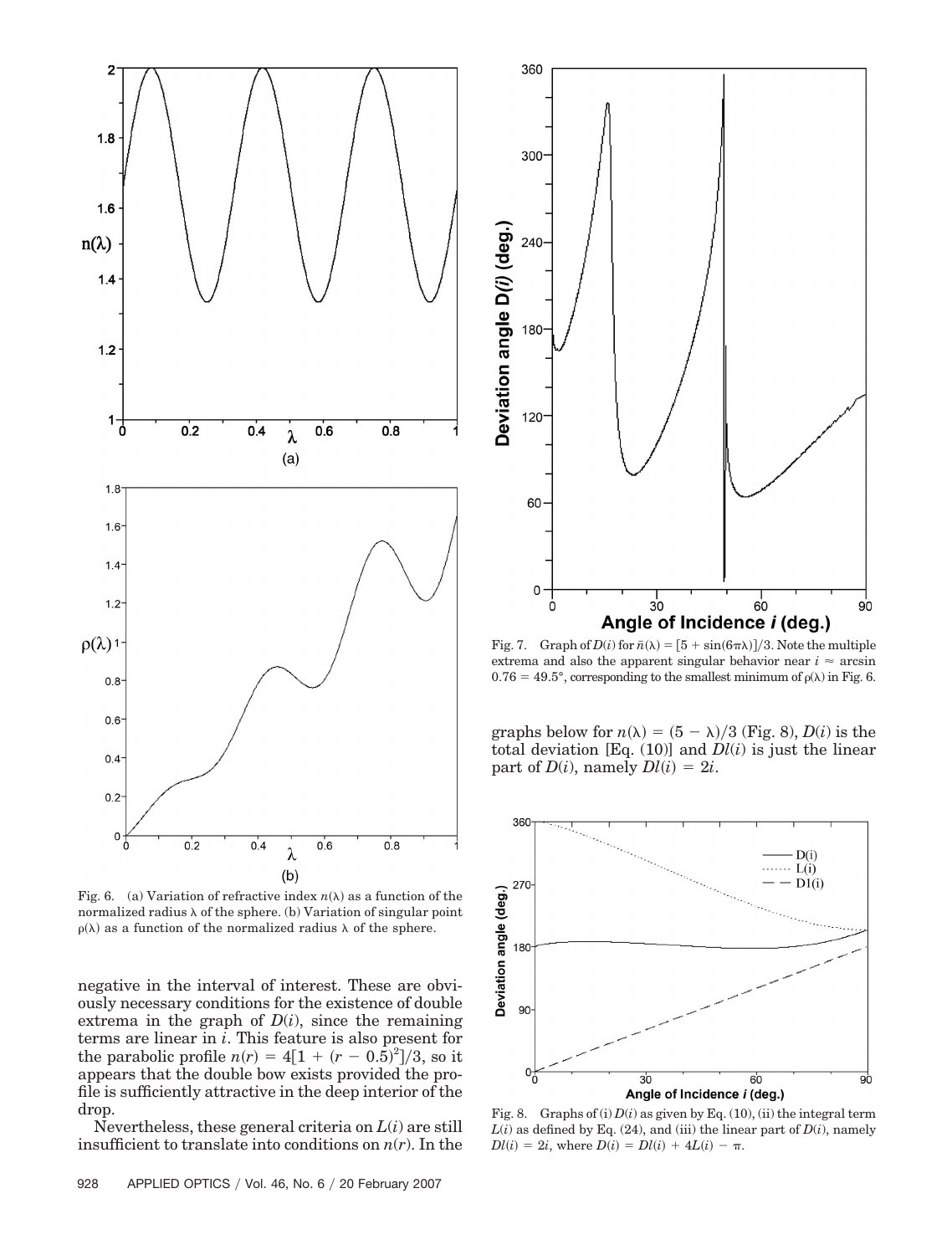

Fig. 6. (a) Variation of refractive index  $n(\lambda)$  as a function of the normalized radius  $\lambda$  of the sphere. (b) Variation of singular point  $\rho(\lambda)$  as a function of the normalized radius  $\lambda$  of the sphere.

negative in the interval of interest. These are obviously necessary conditions for the existence of double extrema in the graph of  $D(i)$ , since the remaining terms are linear in *i*. This feature is also present for the parabolic profile  $n(r) = 4[1 + (r - 0.5)^2]/3$ , so it appears that the double bow exists provided the profile is sufficiently attractive in the deep interior of the drop.

Nevertheless, these general criteria on *L*(*i*) are still insufficient to translate into conditions on *n*(*r*). In the



Fig. 7. Graph of  $D(i)$  for  $\bar{n}(\lambda) = [5 + \sin(6\pi\lambda)]/3$ . Note the multiple extrema and also the apparent singular behavior near  $i \approx \arcsin$  $0.76 = 49.5^{\circ}$ , corresponding to the smallest minimum of  $\rho(\lambda)$  in Fig. 6.

graphs below for  $n(\lambda) = (5 - \lambda)/3$  (Fig. 8), *D*(*i*) is the total deviation [Eq.  $(10)$ ] and  $Dl(i)$  is just the linear part of  $D(i)$ , namely  $Dl(i) = 2i$ .



Fig. 8. Graphs of (i)  $D(i)$  as given by Eq. (10), (ii) the integral term  $L(i)$  as defined by Eq. (24), and (iii) the linear part of  $D(i)$ , namely  $Dl(i) = 2i$ , where  $D(i) = Dl(i) + 4L(i) - \pi$ .